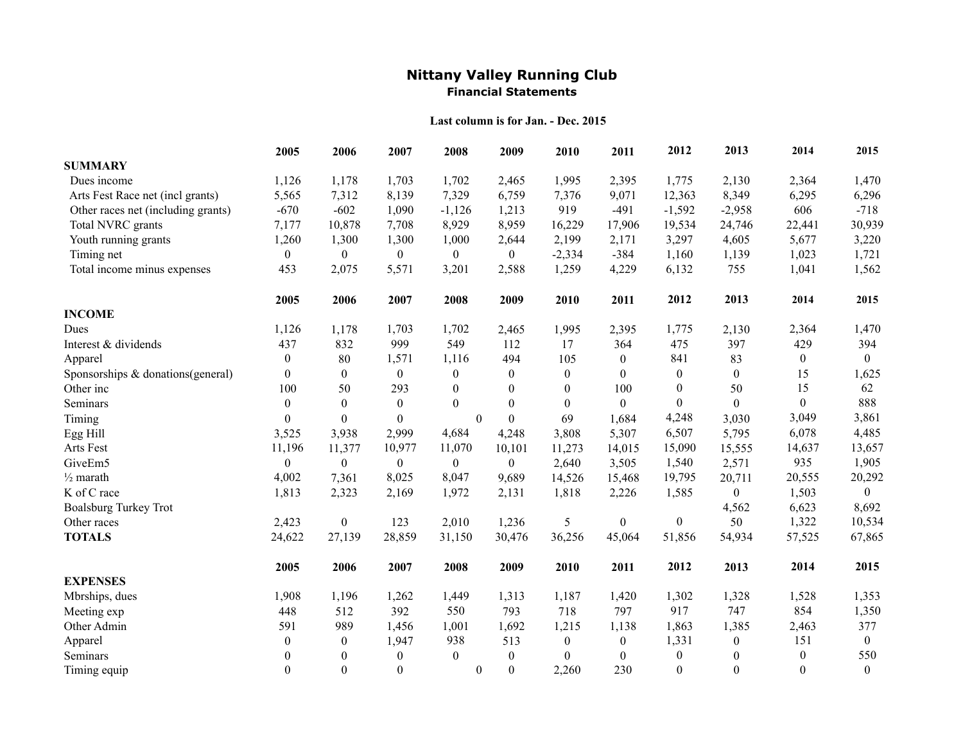## **Nittany Valley Running Club Financial Statements**

## **Last column is for Jan. - Dec. 2015**

|                                    | 2005             | 2006             | 2007             | 2008           | 2009             | 2010             | 2011             | 2012             | 2013             | 2014             | 2015             |
|------------------------------------|------------------|------------------|------------------|----------------|------------------|------------------|------------------|------------------|------------------|------------------|------------------|
| <b>SUMMARY</b>                     |                  |                  |                  |                |                  |                  |                  |                  |                  |                  |                  |
| Dues income                        | 1,126            | 1,178            | 1,703            | 1,702          | 2,465            | 1,995            | 2,395            | 1,775            | 2,130            | 2,364            | 1,470            |
| Arts Fest Race net (incl grants)   | 5,565            | 7,312            | 8,139            | 7,329          | 6,759            | 7,376            | 9,071            | 12,363           | 8,349            | 6,295            | 6,296            |
| Other races net (including grants) | $-670$           | $-602$           | 1,090            | $-1,126$       | 1,213            | 919              | $-491$           | $-1,592$         | $-2,958$         | 606              | $-718$           |
| Total NVRC grants                  | 7,177            | 10,878           | 7,708            | 8,929          | 8,959            | 16,229           | 17,906           | 19,534           | 24,746           | 22,441           | 30,939           |
| Youth running grants               | 1,260            | 1,300            | 1,300            | 1,000          | 2,644            | 2,199            | 2,171            | 3,297            | 4,605            | 5,677            | 3,220            |
| Timing net                         | $\mathbf{0}$     | $\overline{0}$   | $\overline{0}$   | $\overline{0}$ | $\boldsymbol{0}$ | $-2,334$         | $-384$           | 1,160            | 1,139            | 1,023            | 1,721            |
| Total income minus expenses        | 453              | 2,075            | 5,571            | 3,201          | 2,588            | 1,259            | 4,229            | 6,132            | 755              | 1,041            | 1,562            |
|                                    | 2005             | 2006             | 2007             | 2008           | 2009             | 2010             | 2011             | 2012             | 2013             | 2014             | 2015             |
| <b>INCOME</b>                      |                  |                  |                  |                |                  |                  |                  |                  |                  |                  |                  |
| Dues                               | 1,126            | 1,178            | 1,703            | 1,702          | 2,465            | 1,995            | 2,395            | 1,775            | 2,130            | 2,364            | 1,470            |
| Interest & dividends               | 437              | 832              | 999              | 549            | 112              | 17               | 364              | 475              | 397              | 429              | 394              |
| Apparel                            | $\mathbf{0}$     | 80               | 1,571            | 1,116          | 494              | 105              | $\theta$         | 841              | 83               | $\overline{0}$   | $\theta$         |
| Sponsorships & donations(general)  | $\mathbf{0}$     | $\boldsymbol{0}$ | $\mathbf{0}$     | $\mathbf{0}$   | $\overline{0}$   | $\boldsymbol{0}$ | $\theta$         | $\boldsymbol{0}$ | $\boldsymbol{0}$ | 15               | 1,625            |
| Other inc                          | 100              | 50               | 293              | $\theta$       | $\Omega$         | $\overline{0}$   | 100              | $\boldsymbol{0}$ | 50               | 15               | 62               |
| Seminars                           | $\boldsymbol{0}$ | $\boldsymbol{0}$ | $\boldsymbol{0}$ | $\theta$       | $\theta$         | $\boldsymbol{0}$ | $\overline{0}$   | $\boldsymbol{0}$ | $\boldsymbol{0}$ | $\overline{0}$   | 888              |
| Timing                             | $\theta$         | $\theta$         | $\boldsymbol{0}$ | $\theta$       | $\theta$         | 69               | 1,684            | 4,248            | 3,030            | 3,049            | 3,861            |
| Egg Hill                           | 3,525            | 3,938            | 2,999            | 4,684          | 4,248            | 3,808            | 5,307            | 6,507            | 5,795            | 6,078            | 4,485            |
| Arts Fest                          | 11,196           | 11,377           | 10,977           | 11,070         | 10,101           | 11,273           | 14,015           | 15,090           | 15,555           | 14,637           | 13,657           |
| GiveEm5                            | $\mathbf{0}$     | $\theta$         | $\theta$         | $\overline{0}$ | $\overline{0}$   | 2,640            | 3,505            | 1,540            | 2,571            | 935              | 1,905            |
| $\frac{1}{2}$ marath               | 4,002            | 7,361            | 8,025            | 8,047          | 9,689            | 14,526           | 15,468           | 19,795           | 20,711           | 20,555           | 20,292           |
| K of C race                        | 1,813            | 2,323            | 2,169            | 1,972          | 2,131            | 1,818            | 2,226            | 1,585            | $\boldsymbol{0}$ | 1,503            | $\overline{0}$   |
| <b>Boalsburg Turkey Trot</b>       |                  |                  |                  |                |                  |                  |                  |                  | 4,562            | 6,623            | 8,692            |
| Other races                        | 2,423            | $\boldsymbol{0}$ | 123              | 2,010          | 1,236            | 5                | $\boldsymbol{0}$ | $\boldsymbol{0}$ | 50               | 1,322            | 10,534           |
| <b>TOTALS</b>                      | 24,622           | 27,139           | 28,859           | 31,150         | 30,476           | 36,256           | 45,064           | 51,856           | 54,934           | 57,525           | 67,865           |
|                                    | 2005             | 2006             | 2007             | 2008           | 2009             | 2010             | 2011             | 2012             | 2013             | 2014             | 2015             |
| <b>EXPENSES</b>                    |                  |                  |                  |                |                  |                  |                  |                  |                  |                  |                  |
| Mbrships, dues                     | 1,908            | 1,196            | 1,262            | 1,449          | 1,313            | 1,187            | 1,420            | 1,302            | 1,328            | 1,528            | 1,353            |
| Meeting exp                        | 448              | 512              | 392              | 550            | 793              | 718              | 797              | 917              | 747              | 854              | 1,350            |
| Other Admin                        | 591              | 989              | 1,456            | 1,001          | 1,692            | 1,215            | 1,138            | 1,863            | 1,385            | 2,463            | 377              |
| Apparel                            | $\boldsymbol{0}$ | $\mathbf{0}$     | 1,947            | 938            | 513              | $\boldsymbol{0}$ | $\boldsymbol{0}$ | 1,331            | $\boldsymbol{0}$ | 151              | $\overline{0}$   |
| Seminars                           | $\theta$         | $\mathbf{0}$     | $\overline{0}$   | $\theta$       | $\theta$         | $\Omega$         | $\theta$         | $\boldsymbol{0}$ | $\theta$         | $\boldsymbol{0}$ | 550              |
| Timing equip                       | $\theta$         | $\theta$         | $\boldsymbol{0}$ | $\overline{0}$ | $\theta$         | 2,260            | 230              | $\boldsymbol{0}$ | $\theta$         | $\Omega$         | $\boldsymbol{0}$ |